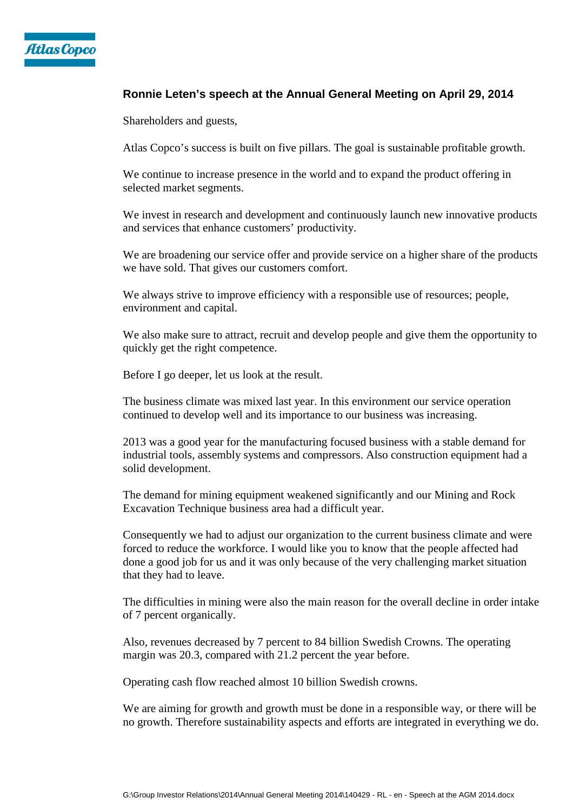

## **Ronnie Leten's speech at the Annual General Meeting on April 29, 2014**

Shareholders and guests,

Atlas Copco's success is built on five pillars. The goal is sustainable profitable growth.

We continue to increase presence in the world and to expand the product offering in selected market segments.

We invest in research and development and continuously launch new innovative products and services that enhance customers' productivity.

We are broadening our service offer and provide service on a higher share of the products we have sold. That gives our customers comfort.

We always strive to improve efficiency with a responsible use of resources; people, environment and capital.

We also make sure to attract, recruit and develop people and give them the opportunity to quickly get the right competence.

Before I go deeper, let us look at the result.

The business climate was mixed last year. In this environment our service operation continued to develop well and its importance to our business was increasing.

2013 was a good year for the manufacturing focused business with a stable demand for industrial tools, assembly systems and compressors. Also construction equipment had a solid development.

The demand for mining equipment weakened significantly and our Mining and Rock Excavation Technique business area had a difficult year.

Consequently we had to adjust our organization to the current business climate and were forced to reduce the workforce. I would like you to know that the people affected had done a good job for us and it was only because of the very challenging market situation that they had to leave.

The difficulties in mining were also the main reason for the overall decline in order intake of 7 percent organically.

Also, revenues decreased by 7 percent to 84 billion Swedish Crowns. The operating margin was 20.3, compared with 21.2 percent the year before.

Operating cash flow reached almost 10 billion Swedish crowns.

We are aiming for growth and growth must be done in a responsible way, or there will be no growth. Therefore sustainability aspects and efforts are integrated in everything we do.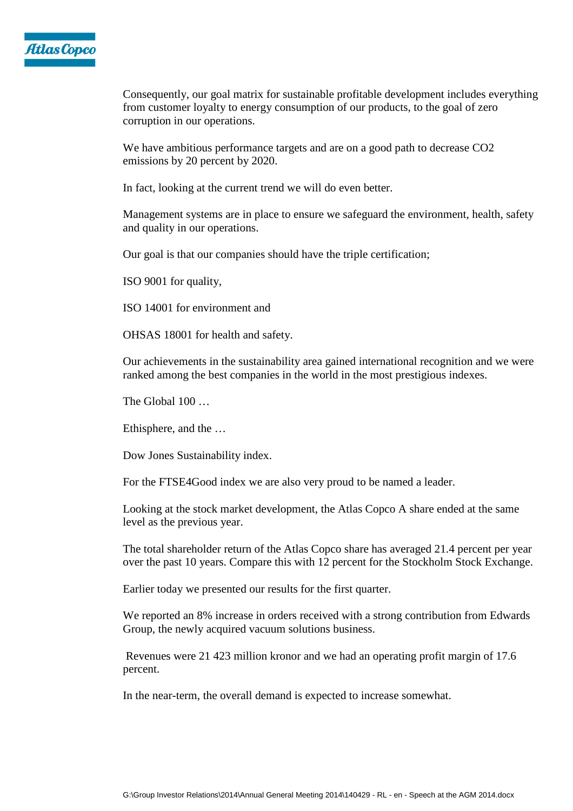

Consequently, our goal matrix for sustainable profitable development includes everything from customer loyalty to energy consumption of our products, to the goal of zero corruption in our operations.

We have ambitious performance targets and are on a good path to decrease CO2 emissions by 20 percent by 2020.

In fact, looking at the current trend we will do even better.

Management systems are in place to ensure we safeguard the environment, health, safety and quality in our operations.

Our goal is that our companies should have the triple certification;

ISO 9001 for quality,

ISO 14001 for environment and

OHSAS 18001 for health and safety.

Our achievements in the sustainability area gained international recognition and we were ranked among the best companies in the world in the most prestigious indexes.

The Global 100 ...

Ethisphere, and the …

Dow Jones Sustainability index.

For the FTSE4Good index we are also very proud to be named a leader.

Looking at the stock market development, the Atlas Copco A share ended at the same level as the previous year.

The total shareholder return of the Atlas Copco share has averaged 21.4 percent per year over the past 10 years. Compare this with 12 percent for the Stockholm Stock Exchange.

Earlier today we presented our results for the first quarter.

We reported an 8% increase in orders received with a strong contribution from Edwards Group, the newly acquired vacuum solutions business.

 Revenues were 21 423 million kronor and we had an operating profit margin of 17.6 percent.

In the near-term, the overall demand is expected to increase somewhat.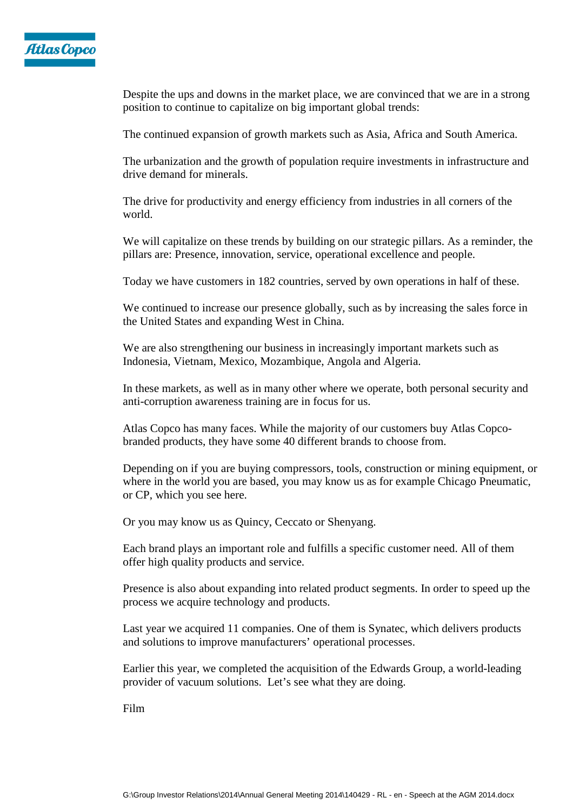

Despite the ups and downs in the market place, we are convinced that we are in a strong position to continue to capitalize on big important global trends:

The continued expansion of growth markets such as Asia, Africa and South America.

The urbanization and the growth of population require investments in infrastructure and drive demand for minerals.

The drive for productivity and energy efficiency from industries in all corners of the world.

We will capitalize on these trends by building on our strategic pillars. As a reminder, the pillars are: Presence, innovation, service, operational excellence and people.

Today we have customers in 182 countries, served by own operations in half of these.

We continued to increase our presence globally, such as by increasing the sales force in the United States and expanding West in China.

We are also strengthening our business in increasingly important markets such as Indonesia, Vietnam, Mexico, Mozambique, Angola and Algeria.

In these markets, as well as in many other where we operate, both personal security and anti-corruption awareness training are in focus for us.

Atlas Copco has many faces. While the majority of our customers buy Atlas Copcobranded products, they have some 40 different brands to choose from.

Depending on if you are buying compressors, tools, construction or mining equipment, or where in the world you are based, you may know us as for example Chicago Pneumatic, or CP, which you see here.

Or you may know us as Quincy, Ceccato or Shenyang.

Each brand plays an important role and fulfills a specific customer need. All of them offer high quality products and service.

Presence is also about expanding into related product segments. In order to speed up the process we acquire technology and products.

Last year we acquired 11 companies. One of them is Synatec, which delivers products and solutions to improve manufacturers' operational processes.

Earlier this year, we completed the acquisition of the Edwards Group, a world-leading provider of vacuum solutions. Let's see what they are doing.

Film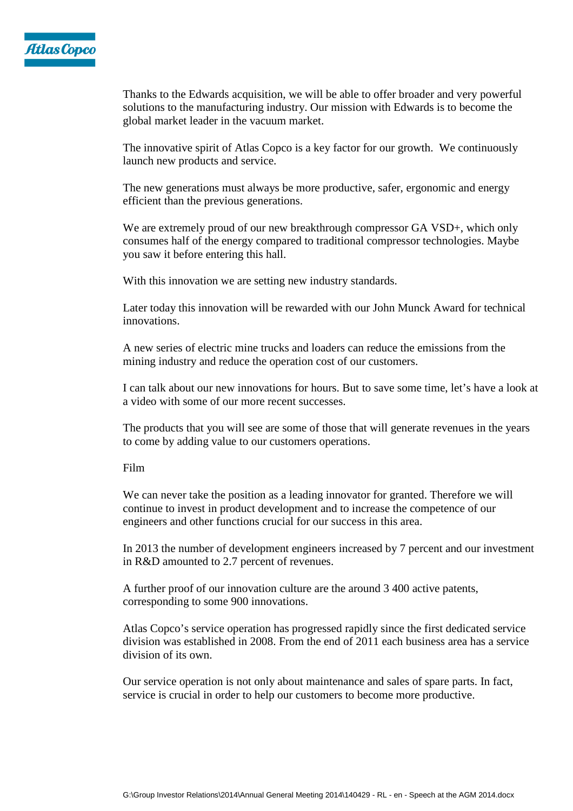

Thanks to the Edwards acquisition, we will be able to offer broader and very powerful solutions to the manufacturing industry. Our mission with Edwards is to become the global market leader in the vacuum market.

The innovative spirit of Atlas Copco is a key factor for our growth. We continuously launch new products and service.

The new generations must always be more productive, safer, ergonomic and energy efficient than the previous generations.

We are extremely proud of our new breakthrough compressor GA VSD+, which only consumes half of the energy compared to traditional compressor technologies. Maybe you saw it before entering this hall.

With this innovation we are setting new industry standards.

Later today this innovation will be rewarded with our John Munck Award for technical innovations.

A new series of electric mine trucks and loaders can reduce the emissions from the mining industry and reduce the operation cost of our customers.

I can talk about our new innovations for hours. But to save some time, let's have a look at a video with some of our more recent successes.

The products that you will see are some of those that will generate revenues in the years to come by adding value to our customers operations.

## Film

We can never take the position as a leading innovator for granted. Therefore we will continue to invest in product development and to increase the competence of our engineers and other functions crucial for our success in this area.

In 2013 the number of development engineers increased by 7 percent and our investment in R&D amounted to 2.7 percent of revenues.

A further proof of our innovation culture are the around 3 400 active patents, corresponding to some 900 innovations.

Atlas Copco's service operation has progressed rapidly since the first dedicated service division was established in 2008. From the end of 2011 each business area has a service division of its own.

Our service operation is not only about maintenance and sales of spare parts. In fact, service is crucial in order to help our customers to become more productive.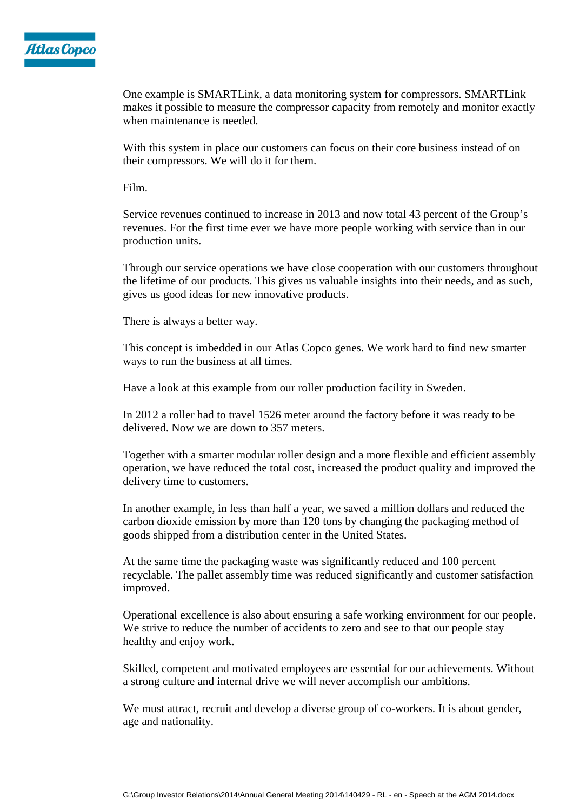

One example is SMARTLink, a data monitoring system for compressors. SMARTLink makes it possible to measure the compressor capacity from remotely and monitor exactly when maintenance is needed.

With this system in place our customers can focus on their core business instead of on their compressors. We will do it for them.

Film.

Service revenues continued to increase in 2013 and now total 43 percent of the Group's revenues. For the first time ever we have more people working with service than in our production units.

Through our service operations we have close cooperation with our customers throughout the lifetime of our products. This gives us valuable insights into their needs, and as such, gives us good ideas for new innovative products.

There is always a better way.

This concept is imbedded in our Atlas Copco genes. We work hard to find new smarter ways to run the business at all times.

Have a look at this example from our roller production facility in Sweden.

In 2012 a roller had to travel 1526 meter around the factory before it was ready to be delivered. Now we are down to 357 meters.

Together with a smarter modular roller design and a more flexible and efficient assembly operation, we have reduced the total cost, increased the product quality and improved the delivery time to customers.

In another example, in less than half a year, we saved a million dollars and reduced the carbon dioxide emission by more than 120 tons by changing the packaging method of goods shipped from a distribution center in the United States.

At the same time the packaging waste was significantly reduced and 100 percent recyclable. The pallet assembly time was reduced significantly and customer satisfaction improved.

Operational excellence is also about ensuring a safe working environment for our people. We strive to reduce the number of accidents to zero and see to that our people stay healthy and enjoy work.

Skilled, competent and motivated employees are essential for our achievements. Without a strong culture and internal drive we will never accomplish our ambitions.

We must attract, recruit and develop a diverse group of co-workers. It is about gender, age and nationality.